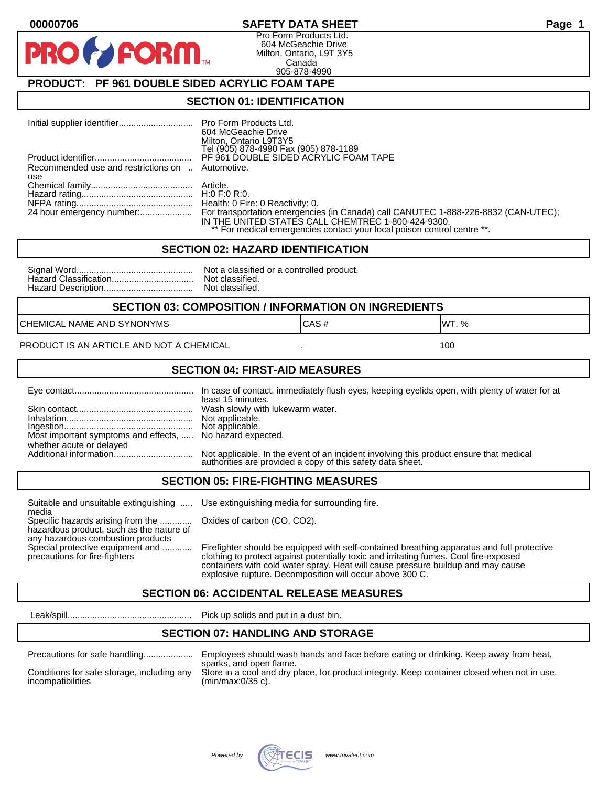#### **00000706 SAFETY DATA SHEET Page 1**

Pro Form Products Ltd. 604 McGeachie Drive Milton, Ontario, L9T 3Y5 Canada 905-878-4990

## **PRODUCT: PF 961 DOUBLE SIDED ACRYLIC FOAM TAPE**

FORM.

#### **SECTION 01: IDENTIFICATION**

|                                                         | 604 McGeachie Drive<br>Milton, Ontario L9T3Y5<br>Tel (905) 878-4990 Fax (905) 878-1189                                                                                                                                                        |
|---------------------------------------------------------|-----------------------------------------------------------------------------------------------------------------------------------------------------------------------------------------------------------------------------------------------|
|                                                         | PF 961 DOUBLE SIDED ACRYLIC FOAM TAPE                                                                                                                                                                                                         |
| Recommended use and restrictions on  Automotive.<br>use |                                                                                                                                                                                                                                               |
|                                                         |                                                                                                                                                                                                                                               |
|                                                         |                                                                                                                                                                                                                                               |
|                                                         | 24 hour emergency number: For transportation emergencies (in Canada) call CANUTEC 1-888-226-8832 (CAN-UTEC);<br>IN THE UNITED STATES CALL CHEMTREC 1-800-424-9300.<br>** For medical emergencies contact your local poison control centre **. |

#### **SECTION 02: HAZARD IDENTIFICATION**

| No |
|----|
| No |
| No |

ot a classified or a controlled product. ot classified. ot classified.

#### **SECTION 03: COMPOSITION / INFORMATION ON INGREDIENTS**

CHEMICAL NAME AND SYNONYMS GAS AND CAS # CAS # WT. %

PRODUCT IS AN ARTICLE AND NOT A CHEMICAL **AND THE SET AND A SET ALL ASSAULT** 100

#### **SECTION 04: FIRST-AID MEASURES**

|                                                                                       | In case of contact, immediately flush eyes, keeping eyelids open, with plenty of water for at<br>least 15 minutes.                                   |
|---------------------------------------------------------------------------------------|------------------------------------------------------------------------------------------------------------------------------------------------------|
|                                                                                       |                                                                                                                                                      |
| Most important symptoms and effects,  No hazard expected.<br>whether acute or delayed |                                                                                                                                                      |
|                                                                                       | Not applicable. In the event of an incident involving this product ensure that medical<br>authorities are provided a copy of this safety data sheet. |

#### **SECTION 05: FIRE-FIGHTING MEASURES**

Suitable and unsuitable extinguishing ..... Use extinguishing media for surrounding fire. media

Specific hazards arising from the ............. Oxides of carbon (CO, CO2). hazardous product, such as the nature of any hazardous combustion products

Special protective equipment and ............ Firefighter should be equipped with self-contained breathing apparatus and full protective<br>precautions for fire-fighters continent clothing to protect against potentially toxic clothing to protect against potentially toxic and irritating fumes. Cool fire-exposed containers with cold water spray. Heat will cause pressure buildup and may cause explosive rupture. Decomposition will occur above 300 C.

## **SECTION 06: ACCIDENTAL RELEASE MEASURES**

Leak/spill.................................................. Pick up solids and put in a dust bin.

#### **SECTION 07: HANDLING AND STORAGE**

| Precautions for safe handling |
|-------------------------------|
|                               |

Precautions for safe handling.................... Employees should wash hands and face before eating or drinking. Keep away from heat, sparks, and open flame. Conditions for safe storage, including any Store in a cool and dry place, for product integrity. Keep container closed when not in use.<br>incompatibilities (min/max:0/35 c).  $(min/max:0/35 c)$ .

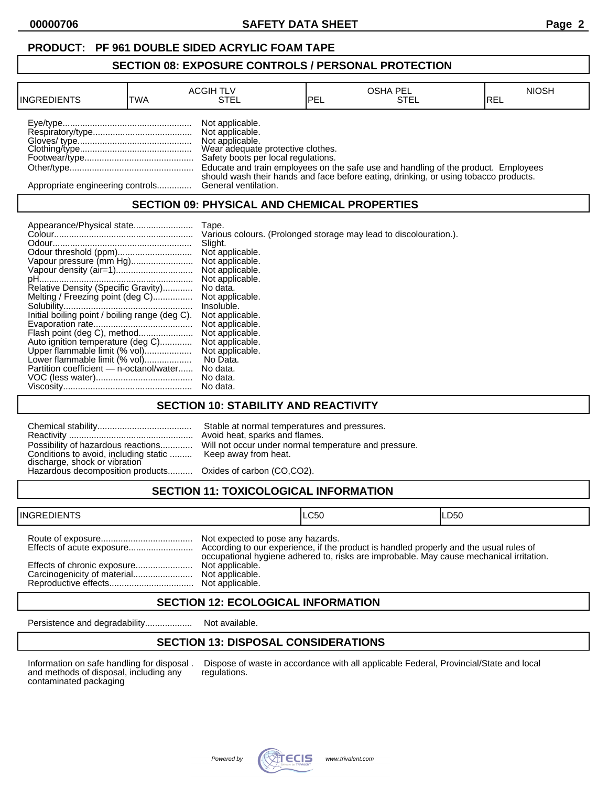## **PRODUCT: PF 961 DOUBLE SIDED ACRYLIC FOAM TAPE**

#### **SECTION 08: EXPOSURE CONTROLS / PERSONAL PROTECTION**

| <b>INGREDIENTS</b>               | TWA | <b>ACGIH TLV</b><br>STEL                                                                                                          | IPEL | <b>OSHA PEL</b><br>STEL                                                                                                                                                    | <b>NIOSH</b><br>IREL |
|----------------------------------|-----|-----------------------------------------------------------------------------------------------------------------------------------|------|----------------------------------------------------------------------------------------------------------------------------------------------------------------------------|----------------------|
|                                  |     | Not applicable.<br>Not applicable.<br>Not applicable.<br>Wear adequate protective clothes.<br>Safety boots per local regulations. |      | Educate and train employees on the safe use and handling of the product. Employees<br>should wash their hands and face before eating, drinking, or using tobacco products. |                      |
| Appropriate engineering controls |     | General ventilation.                                                                                                              |      |                                                                                                                                                                            |                      |

## **SECTION 09: PHYSICAL AND CHEMICAL PROPERTIES**

|                                                | Tape.                                                             |
|------------------------------------------------|-------------------------------------------------------------------|
|                                                | Various colours. (Prolonged storage may lead to discolouration.). |
|                                                | Slight.                                                           |
|                                                | Not applicable.                                                   |
| Vapour pressure (mm Hg)                        | Not applicable.                                                   |
|                                                | Not applicable.                                                   |
|                                                | Not applicable.                                                   |
| Relative Density (Specific Gravity)            | No data.                                                          |
| Melting / Freezing point (deg C)               | Not applicable.                                                   |
|                                                | Insoluble.                                                        |
| Initial boiling point / boiling range (deg C). | Not applicable.                                                   |
|                                                | Not applicable.                                                   |
| Flash point (deg C), method                    | Not applicable.                                                   |
| Auto ignition temperature (deg C)              | Not applicable.                                                   |
| Upper flammable limit (% vol)                  | Not applicable.                                                   |
| Lower flammable limit (% vol)                  | No Data.                                                          |
| Partition coefficient - n-octanol/water        | No data.                                                          |
|                                                | No data.                                                          |
|                                                | No data.                                                          |

## **SECTION 10: STABILITY AND REACTIVITY**

| Conditions to avoid, including static  Keep away from heat.<br>discharge, shock or vibration<br>Hazardous decomposition products Oxides of carbon (CO,CO2). | Stable at normal temperatures and pressures.<br>Avoid heat, sparks and flames.<br>Possibility of hazardous reactions Will not occur under normal temperature and pressure. |
|-------------------------------------------------------------------------------------------------------------------------------------------------------------|----------------------------------------------------------------------------------------------------------------------------------------------------------------------------|
|                                                                                                                                                             |                                                                                                                                                                            |

# **SECTION 11: TOXICOLOGICAL INFORMATION**

| <b>INGREDIENTS</b>          |                                                      | ILC50                                                                                   | LD50 |
|-----------------------------|------------------------------------------------------|-----------------------------------------------------------------------------------------|------|
| Effects of chronic exposure | Not expected to pose any hazards.<br>Not applicable. | occupational hygiene adhered to, risks are improbable. May cause mechanical irritation. |      |
|                             |                                                      |                                                                                         |      |

## **SECTION 12: ECOLOGICAL INFORMATION**

Persistence and degradability................... Not available.

## **SECTION 13: DISPOSAL CONSIDERATIONS**

and methods of disposal, including any contaminated packaging

Information on safe handling for disposal . Dispose of waste in accordance with all applicable Federal, Provincial/State and local